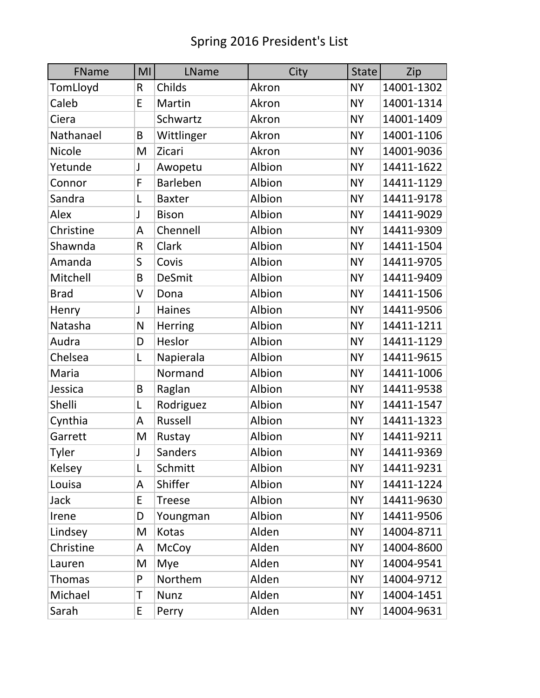| FName         | MI | LName         | City   | <b>State</b> | Zip        |
|---------------|----|---------------|--------|--------------|------------|
| TomLloyd      | R  | Childs        | Akron  | <b>NY</b>    | 14001-1302 |
| Caleb         | E  | Martin        | Akron  | <b>NY</b>    | 14001-1314 |
| Ciera         |    | Schwartz      | Akron  | <b>NY</b>    | 14001-1409 |
| Nathanael     | B  | Wittlinger    | Akron  | <b>NY</b>    | 14001-1106 |
| <b>Nicole</b> | M  | Zicari        | Akron  | <b>NY</b>    | 14001-9036 |
| Yetunde       | J  | Awopetu       | Albion | <b>NY</b>    | 14411-1622 |
| Connor        | F  | Barleben      | Albion | <b>NY</b>    | 14411-1129 |
| Sandra        | L  | <b>Baxter</b> | Albion | <b>NY</b>    | 14411-9178 |
| Alex          | J  | <b>Bison</b>  | Albion | <b>NY</b>    | 14411-9029 |
| Christine     | A  | Chennell      | Albion | <b>NY</b>    | 14411-9309 |
| Shawnda       | R  | Clark         | Albion | <b>NY</b>    | 14411-1504 |
| Amanda        | S  | Covis         | Albion | <b>NY</b>    | 14411-9705 |
| Mitchell      | B  | <b>DeSmit</b> | Albion | <b>NY</b>    | 14411-9409 |
| <b>Brad</b>   | V  | Dona          | Albion | <b>NY</b>    | 14411-1506 |
| Henry         | J  | <b>Haines</b> | Albion | <b>NY</b>    | 14411-9506 |
| Natasha       | N  | Herring       | Albion | <b>NY</b>    | 14411-1211 |
| Audra         | D  | Heslor        | Albion | <b>NY</b>    | 14411-1129 |
| Chelsea       | L  | Napierala     | Albion | <b>NY</b>    | 14411-9615 |
| Maria         |    | Normand       | Albion | <b>NY</b>    | 14411-1006 |
| Jessica       | B  | Raglan        | Albion | <b>NY</b>    | 14411-9538 |
| Shelli        | L  | Rodriguez     | Albion | <b>NY</b>    | 14411-1547 |
| Cynthia       | A  | Russell       | Albion | <b>NY</b>    | 14411-1323 |
| Garrett       | M  | Rustay        | Albion | <b>NY</b>    | 14411-9211 |
| Tyler         | J  | Sanders       | Albion | <b>NY</b>    | 14411-9369 |
| Kelsey        | L  | Schmitt       | Albion | <b>NY</b>    | 14411-9231 |
| Louisa        | A  | Shiffer       | Albion | <b>NY</b>    | 14411-1224 |
| Jack          | E  | <b>Treese</b> | Albion | <b>NY</b>    | 14411-9630 |
| Irene         | D  | Youngman      | Albion | <b>NY</b>    | 14411-9506 |
| Lindsey       | M  | Kotas         | Alden  | <b>NY</b>    | 14004-8711 |
| Christine     | A  | <b>McCoy</b>  | Alden  | <b>NY</b>    | 14004-8600 |
| Lauren        | M  | Mye           | Alden  | <b>NY</b>    | 14004-9541 |
| <b>Thomas</b> | P  | Northem       | Alden  | <b>NY</b>    | 14004-9712 |
| Michael       | Τ  | <b>Nunz</b>   | Alden  | <b>NY</b>    | 14004-1451 |
| Sarah         | E  | Perry         | Alden  | <b>NY</b>    | 14004-9631 |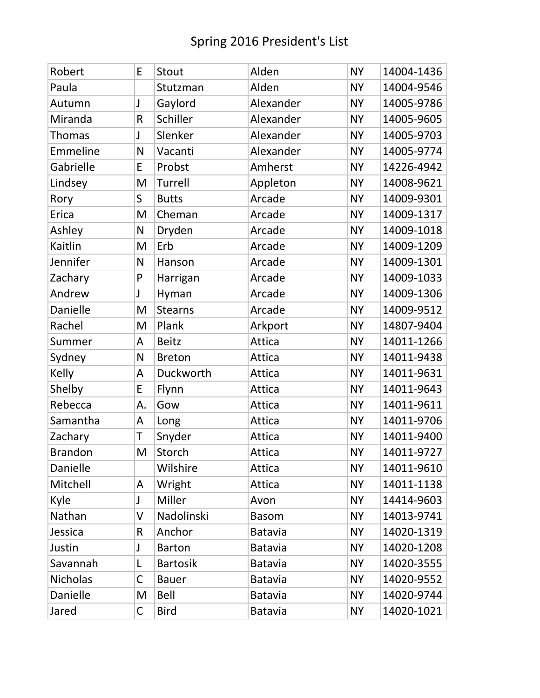| Robert          | E  | Stout           | Alden        | <b>NY</b> | 14004-1436 |
|-----------------|----|-----------------|--------------|-----------|------------|
| Paula           |    | Stutzman        | Alden        | <b>NY</b> | 14004-9546 |
| Autumn          | J  | Gaylord         | Alexander    | <b>NY</b> | 14005-9786 |
| Miranda         | R  | Schiller        | Alexander    | <b>NY</b> | 14005-9605 |
| <b>Thomas</b>   | J  | Slenker         | Alexander    | <b>NY</b> | 14005-9703 |
| Emmeline        | N  | Vacanti         | Alexander    | <b>NY</b> | 14005-9774 |
| Gabrielle       | E  | Probst          | Amherst      | <b>NY</b> | 14226-4942 |
| Lindsey         | M  | Turrell         | Appleton     | <b>NY</b> | 14008-9621 |
| Rory            | S  | <b>Butts</b>    | Arcade       | <b>NY</b> | 14009-9301 |
| Erica           | M  | Cheman          | Arcade       | <b>NY</b> | 14009-1317 |
| Ashley          | N  | Dryden          | Arcade       | <b>NY</b> | 14009-1018 |
| Kaitlin         | M  | Erb             | Arcade       | <b>NY</b> | 14009-1209 |
| Jennifer        | N  | Hanson          | Arcade       | <b>NY</b> | 14009-1301 |
| Zachary         | P  | Harrigan        | Arcade       | <b>NY</b> | 14009-1033 |
| Andrew          | J  | Hyman           | Arcade       | <b>NY</b> | 14009-1306 |
| Danielle        | M  | <b>Stearns</b>  | Arcade       | <b>NY</b> | 14009-9512 |
| Rachel          | M  | Plank           | Arkport      | <b>NY</b> | 14807-9404 |
| Summer          | A  | <b>Beitz</b>    | Attica       | <b>NY</b> | 14011-1266 |
| Sydney          | N  | <b>Breton</b>   | Attica       | <b>NY</b> | 14011-9438 |
| Kelly           | A  | Duckworth       | Attica       | <b>NY</b> | 14011-9631 |
| Shelby          | E  | Flynn           | Attica       | <b>NY</b> | 14011-9643 |
| Rebecca         | А. | Gow             | Attica       | <b>NY</b> | 14011-9611 |
| Samantha        | A  | Long            | Attica       | <b>NY</b> | 14011-9706 |
| Zachary         | T  | Snyder          | Attica       | <b>NY</b> | 14011-9400 |
| <b>Brandon</b>  | M  | Storch          | Attica       | <b>NY</b> | 14011-9727 |
| Danielle        |    | Wilshire        | Attica       | <b>NY</b> | 14011-9610 |
| Mitchell        | A  | Wright          | Attica       | <b>NY</b> | 14011-1138 |
| Kyle            | J  | Miller          | Avon         | <b>NY</b> | 14414-9603 |
| Nathan          | V  | Nadolinski      | <b>Basom</b> | <b>NY</b> | 14013-9741 |
| Jessica         | R. | Anchor          | Batavia      | <b>NY</b> | 14020-1319 |
| Justin          | J  | <b>Barton</b>   | Batavia      | <b>NY</b> | 14020-1208 |
| Savannah        | L  | <b>Bartosik</b> | Batavia      | <b>NY</b> | 14020-3555 |
| <b>Nicholas</b> | C  | <b>Bauer</b>    | Batavia      | <b>NY</b> | 14020-9552 |
| Danielle        | M  | <b>Bell</b>     | Batavia      | <b>NY</b> | 14020-9744 |
| Jared           | C  | <b>Bird</b>     | Batavia      | <b>NY</b> | 14020-1021 |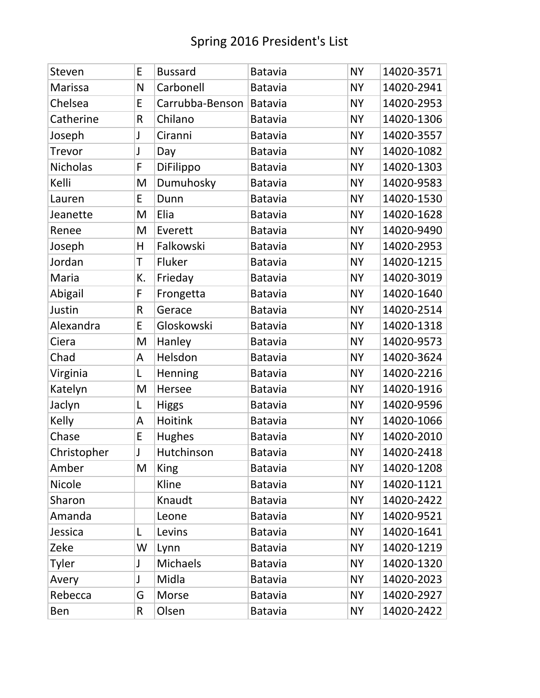| Steven          | E  | <b>Bussard</b>  | <b>Batavia</b> | <b>NY</b> | 14020-3571 |
|-----------------|----|-----------------|----------------|-----------|------------|
| Marissa         | N  | Carbonell       | <b>Batavia</b> | <b>NY</b> | 14020-2941 |
| Chelsea         | E  | Carrubba-Benson | Batavia        | <b>NY</b> | 14020-2953 |
| Catherine       | R  | Chilano         | Batavia        | <b>NY</b> | 14020-1306 |
| Joseph          | J  | Ciranni         | <b>Batavia</b> | <b>NY</b> | 14020-3557 |
| <b>Trevor</b>   | J  | Day             | <b>Batavia</b> | <b>NY</b> | 14020-1082 |
| <b>Nicholas</b> | F  | DiFilippo       | <b>Batavia</b> | <b>NY</b> | 14020-1303 |
| Kelli           | M  | Dumuhosky       | <b>Batavia</b> | <b>NY</b> | 14020-9583 |
| Lauren          | E  | Dunn            | <b>Batavia</b> | <b>NY</b> | 14020-1530 |
| Jeanette        | M  | Elia            | <b>Batavia</b> | <b>NY</b> | 14020-1628 |
| Renee           | M  | Everett         | <b>Batavia</b> | <b>NY</b> | 14020-9490 |
| Joseph          | H  | Falkowski       | <b>Batavia</b> | <b>NY</b> | 14020-2953 |
| Jordan          | T  | Fluker          | Batavia        | <b>NY</b> | 14020-1215 |
| Maria           | К. | Frieday         | <b>Batavia</b> | <b>NY</b> | 14020-3019 |
| Abigail         | F  | Frongetta       | Batavia        | <b>NY</b> | 14020-1640 |
| Justin          | R  | Gerace          | <b>Batavia</b> | <b>NY</b> | 14020-2514 |
| Alexandra       | E  | Gloskowski      | <b>Batavia</b> | <b>NY</b> | 14020-1318 |
| Ciera           | M  | Hanley          | <b>Batavia</b> | <b>NY</b> | 14020-9573 |
| Chad            | A  | Helsdon         | <b>Batavia</b> | <b>NY</b> | 14020-3624 |
| Virginia        | L  | Henning         | <b>Batavia</b> | <b>NY</b> | 14020-2216 |
| Katelyn         | M  | Hersee          | <b>Batavia</b> | <b>NY</b> | 14020-1916 |
| Jaclyn          | L  | <b>Higgs</b>    | <b>Batavia</b> | <b>NY</b> | 14020-9596 |
| Kelly           | A  | Hoitink         | <b>Batavia</b> | <b>NY</b> | 14020-1066 |
| Chase           | E  | <b>Hughes</b>   | <b>Batavia</b> | <b>NY</b> | 14020-2010 |
| Christopher     | J  | Hutchinson      | Batavia        | <b>NY</b> | 14020-2418 |
| Amber           | M  | <b>King</b>     | Batavia        | <b>NY</b> | 14020-1208 |
| <b>Nicole</b>   |    | Kline           | Batavia        | <b>NY</b> | 14020-1121 |
| Sharon          |    | Knaudt          | <b>Batavia</b> | <b>NY</b> | 14020-2422 |
| Amanda          |    | Leone           | Batavia        | <b>NY</b> | 14020-9521 |
| Jessica         | L  | Levins          | Batavia        | <b>NY</b> | 14020-1641 |
| Zeke            | W  | Lynn            | Batavia        | <b>NY</b> | 14020-1219 |
| Tyler           | J  | Michaels        | <b>Batavia</b> | <b>NY</b> | 14020-1320 |
| Avery           | J  | Midla           | Batavia        | <b>NY</b> | 14020-2023 |
| Rebecca         | G  | Morse           | <b>Batavia</b> | <b>NY</b> | 14020-2927 |
| Ben             | R  | Olsen           | <b>Batavia</b> | <b>NY</b> | 14020-2422 |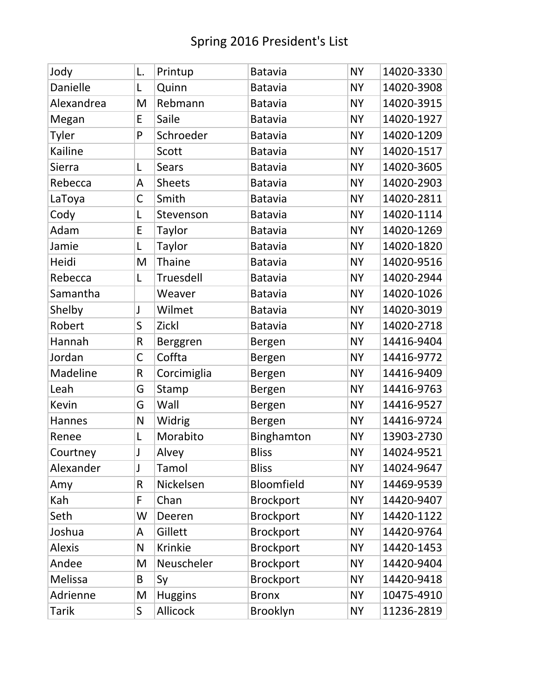| Jody          | L.          | Printup        | Batavia          | <b>NY</b> | 14020-3330 |
|---------------|-------------|----------------|------------------|-----------|------------|
| Danielle      | L           | Quinn          | <b>Batavia</b>   | <b>NY</b> | 14020-3908 |
| Alexandrea    | M           | Rebmann        | <b>Batavia</b>   | <b>NY</b> | 14020-3915 |
| Megan         | E           | Saile          | <b>Batavia</b>   | <b>NY</b> | 14020-1927 |
| Tyler         | P           | Schroeder      | <b>Batavia</b>   | <b>NY</b> | 14020-1209 |
| Kailine       |             | Scott          | Batavia          | <b>NY</b> | 14020-1517 |
| Sierra        | L           | <b>Sears</b>   | <b>Batavia</b>   | <b>NY</b> | 14020-3605 |
| Rebecca       | A           | <b>Sheets</b>  | <b>Batavia</b>   | <b>NY</b> | 14020-2903 |
| LaToya        | C           | Smith          | <b>Batavia</b>   | <b>NY</b> | 14020-2811 |
| Cody          | L           | Stevenson      | <b>Batavia</b>   | <b>NY</b> | 14020-1114 |
| Adam          | E           | Taylor         | <b>Batavia</b>   | <b>NY</b> | 14020-1269 |
| Jamie         | L           | Taylor         | <b>Batavia</b>   | <b>NY</b> | 14020-1820 |
| Heidi         | M           | Thaine         | <b>Batavia</b>   | <b>NY</b> | 14020-9516 |
| Rebecca       | L           | Truesdell      | <b>Batavia</b>   | <b>NY</b> | 14020-2944 |
| Samantha      |             | Weaver         | <b>Batavia</b>   | <b>NY</b> | 14020-1026 |
| Shelby        | J           | Wilmet         | <b>Batavia</b>   | <b>NY</b> | 14020-3019 |
| Robert        | S           | Zickl          | <b>Batavia</b>   | <b>NY</b> | 14020-2718 |
| Hannah        | R           | Berggren       | Bergen           | <b>NY</b> | 14416-9404 |
| Jordan        | $\mathsf C$ | Coffta         | Bergen           | <b>NY</b> | 14416-9772 |
| Madeline      | R           | Corcimiglia    | Bergen           | <b>NY</b> | 14416-9409 |
| Leah          | G           | Stamp          | Bergen           | <b>NY</b> | 14416-9763 |
| Kevin         | G           | Wall           | Bergen           | <b>NY</b> | 14416-9527 |
| Hannes        | N           | Widrig         | Bergen           | <b>NY</b> | 14416-9724 |
| Renee         | L           | Morabito       | Binghamton       | <b>NY</b> | 13903-2730 |
| Courtney      | J           | Alvey          | <b>Bliss</b>     | <b>NY</b> | 14024-9521 |
| Alexander     | J           | Tamol          | <b>Bliss</b>     | <b>NY</b> | 14024-9647 |
| Amy           | R           | Nickelsen      | Bloomfield       | <b>NY</b> | 14469-9539 |
| Kah           | F           | Chan           | <b>Brockport</b> | <b>NY</b> | 14420-9407 |
| Seth          | W           | Deeren         | <b>Brockport</b> | <b>NY</b> | 14420-1122 |
| Joshua        | A           | Gillett        | <b>Brockport</b> | <b>NY</b> | 14420-9764 |
| <b>Alexis</b> | N           | Krinkie        | <b>Brockport</b> | <b>NY</b> | 14420-1453 |
| Andee         | M           | Neuscheler     | <b>Brockport</b> | <b>NY</b> | 14420-9404 |
| Melissa       | B           | Sy             | <b>Brockport</b> | <b>NY</b> | 14420-9418 |
| Adrienne      | M           | <b>Huggins</b> | <b>Bronx</b>     | <b>NY</b> | 10475-4910 |
| Tarik         | S           | Allicock       | Brooklyn         | <b>NY</b> | 11236-2819 |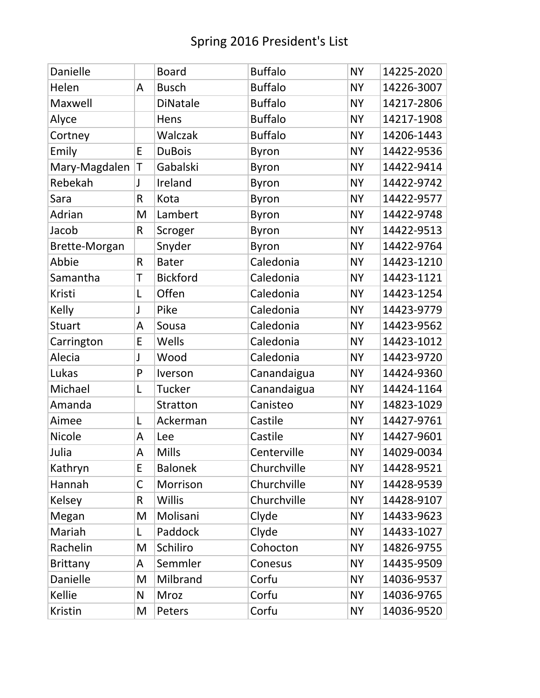| Danielle        |   | <b>Board</b>    | <b>Buffalo</b> | <b>NY</b> | 14225-2020 |
|-----------------|---|-----------------|----------------|-----------|------------|
| Helen           | A | <b>Busch</b>    | <b>Buffalo</b> | <b>NY</b> | 14226-3007 |
| Maxwell         |   | <b>DiNatale</b> | <b>Buffalo</b> | <b>NY</b> | 14217-2806 |
| Alyce           |   | Hens            | <b>Buffalo</b> | <b>NY</b> | 14217-1908 |
| Cortney         |   | Walczak         | <b>Buffalo</b> | <b>NY</b> | 14206-1443 |
| Emily           | E | <b>DuBois</b>   | <b>Byron</b>   | <b>NY</b> | 14422-9536 |
| Mary-Magdalen   | T | Gabalski        | <b>Byron</b>   | <b>NY</b> | 14422-9414 |
| Rebekah         | J | Ireland         | <b>Byron</b>   | <b>NY</b> | 14422-9742 |
| Sara            | R | Kota            | <b>Byron</b>   | <b>NY</b> | 14422-9577 |
| Adrian          | M | Lambert         | <b>Byron</b>   | <b>NY</b> | 14422-9748 |
| Jacob           | R | Scroger         | <b>Byron</b>   | <b>NY</b> | 14422-9513 |
| Brette-Morgan   |   | Snyder          | <b>Byron</b>   | <b>NY</b> | 14422-9764 |
| Abbie           | R | <b>Bater</b>    | Caledonia      | <b>NY</b> | 14423-1210 |
| Samantha        | T | <b>Bickford</b> | Caledonia      | <b>NY</b> | 14423-1121 |
| Kristi          | L | Offen           | Caledonia      | <b>NY</b> | 14423-1254 |
| Kelly           | J | Pike            | Caledonia      | <b>NY</b> | 14423-9779 |
| <b>Stuart</b>   | A | Sousa           | Caledonia      | <b>NY</b> | 14423-9562 |
| Carrington      | E | Wells           | Caledonia      | <b>NY</b> | 14423-1012 |
| Alecia          | J | Wood            | Caledonia      | <b>NY</b> | 14423-9720 |
| Lukas           | P | Iverson         | Canandaigua    | <b>NY</b> | 14424-9360 |
| Michael         | L | <b>Tucker</b>   | Canandaigua    | <b>NY</b> | 14424-1164 |
| Amanda          |   | <b>Stratton</b> | Canisteo       | <b>NY</b> | 14823-1029 |
| Aimee           | L | Ackerman        | Castile        | <b>NY</b> | 14427-9761 |
| <b>Nicole</b>   | A | Lee             | Castile        | <b>NY</b> | 14427-9601 |
| Julia           | A | <b>Mills</b>    | Centerville    | <b>NY</b> | 14029-0034 |
| Kathryn         | E | <b>Balonek</b>  | Churchville    | <b>NY</b> | 14428-9521 |
| Hannah          | C | Morrison        | Churchville    | <b>NY</b> | 14428-9539 |
| <b>Kelsey</b>   | R | <b>Willis</b>   | Churchville    | <b>NY</b> | 14428-9107 |
| Megan           | M | Molisani        | Clyde          | <b>NY</b> | 14433-9623 |
| Mariah          | L | Paddock         | Clyde          | <b>NY</b> | 14433-1027 |
| Rachelin        | M | Schiliro        | Cohocton       | <b>NY</b> | 14826-9755 |
| <b>Brittany</b> | A | Semmler         | Conesus        | <b>NY</b> | 14435-9509 |
| Danielle        | M | Milbrand        | Corfu          | <b>NY</b> | 14036-9537 |
| Kellie          | N | Mroz            | Corfu          | <b>NY</b> | 14036-9765 |
| Kristin         | M | Peters          | Corfu          | <b>NY</b> | 14036-9520 |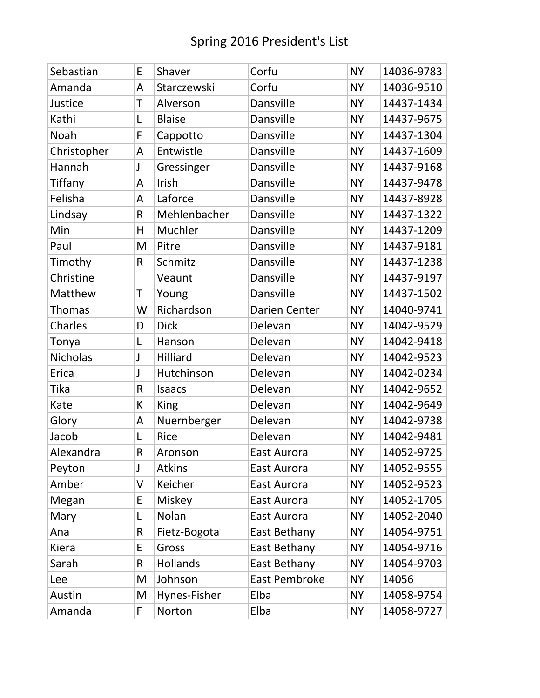| Sebastian     | E  | Shaver          | Corfu         | <b>NY</b> | 14036-9783 |
|---------------|----|-----------------|---------------|-----------|------------|
| Amanda        | A  | Starczewski     | Corfu         | <b>NY</b> | 14036-9510 |
| Justice       | T  | Alverson        | Dansville     | <b>NY</b> | 14437-1434 |
| Kathi         | L  | <b>Blaise</b>   | Dansville     | <b>NY</b> | 14437-9675 |
| Noah          | F  | Cappotto        | Dansville     | <b>NY</b> | 14437-1304 |
| Christopher   | A  | Entwistle       | Dansville     | <b>NY</b> | 14437-1609 |
| Hannah        | J  | Gressinger      | Dansville     | <b>NY</b> | 14437-9168 |
| Tiffany       | A  | Irish           | Dansville     | <b>NY</b> | 14437-9478 |
| Felisha       | A  | Laforce         | Dansville     | <b>NY</b> | 14437-8928 |
| Lindsay       | R  | Mehlenbacher    | Dansville     | <b>NY</b> | 14437-1322 |
| Min           | H  | Muchler         | Dansville     | <b>NY</b> | 14437-1209 |
| Paul          | M  | Pitre           | Dansville     | <b>NY</b> | 14437-9181 |
| Timothy       | R  | Schmitz         | Dansville     | <b>NY</b> | 14437-1238 |
| Christine     |    | Veaunt          | Dansville     | <b>NY</b> | 14437-9197 |
| Matthew       | Τ  | Young           | Dansville     | <b>NY</b> | 14437-1502 |
| <b>Thomas</b> | W  | Richardson      | Darien Center | <b>NY</b> | 14040-9741 |
| Charles       | D  | <b>Dick</b>     | Delevan       | <b>NY</b> | 14042-9529 |
| Tonya         | L  | Hanson          | Delevan       | <b>NY</b> | 14042-9418 |
| Nicholas      | J  | Hilliard        | Delevan       | <b>NY</b> | 14042-9523 |
| Erica         | J  | Hutchinson      | Delevan       | <b>NY</b> | 14042-0234 |
| Tika          | R  | <b>Isaacs</b>   | Delevan       | <b>NY</b> | 14042-9652 |
| Kate          | К  | King            | Delevan       | <b>NY</b> | 14042-9649 |
| Glory         | A  | Nuernberger     | Delevan       | <b>NY</b> | 14042-9738 |
| Jacob         | L  | Rice            | Delevan       | <b>NY</b> | 14042-9481 |
| Alexandra     | R  | Aronson         | East Aurora   | <b>NY</b> | 14052-9725 |
| Peyton        | J  | <b>Atkins</b>   | East Aurora   | <b>NY</b> | 14052-9555 |
| Amber         | V  | Keicher         | East Aurora   | <b>NY</b> | 14052-9523 |
| Megan         | E  | Miskey          | East Aurora   | <b>NY</b> | 14052-1705 |
| Mary          | L  | Nolan           | East Aurora   | <b>NY</b> | 14052-2040 |
| Ana           | R  | Fietz-Bogota    | East Bethany  | <b>NY</b> | 14054-9751 |
| Kiera         | E  | Gross           | East Bethany  | <b>NY</b> | 14054-9716 |
| Sarah         | R. | <b>Hollands</b> | East Bethany  | <b>NY</b> | 14054-9703 |
| Lee           | M  | Johnson         | East Pembroke | <b>NY</b> | 14056      |
| Austin        | M  | Hynes-Fisher    | Elba          | <b>NY</b> | 14058-9754 |
| Amanda        | F  | Norton          | Elba          | <b>NY</b> | 14058-9727 |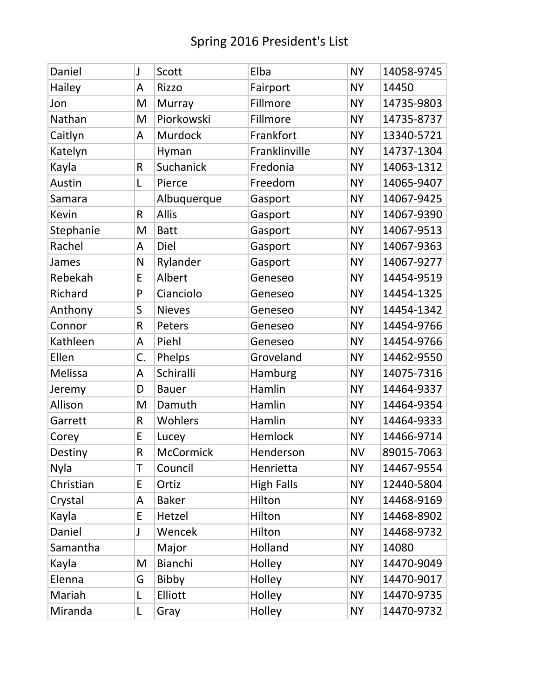| Daniel    | J  | Scott            | Elba              | <b>NY</b> | 14058-9745 |
|-----------|----|------------------|-------------------|-----------|------------|
| Hailey    | A  | <b>Rizzo</b>     | Fairport          | <b>NY</b> | 14450      |
| Jon       | M  | Murray           | Fillmore          | <b>NY</b> | 14735-9803 |
| Nathan    | M  | Piorkowski       | Fillmore          | <b>NY</b> | 14735-8737 |
| Caitlyn   | A  | Murdock          | Frankfort         | <b>NY</b> | 13340-5721 |
| Katelyn   |    | Hyman            | Franklinville     | <b>NY</b> | 14737-1304 |
| Kayla     | R  | Suchanick        | Fredonia          | <b>NY</b> | 14063-1312 |
| Austin    | L  | Pierce           | Freedom           | <b>NY</b> | 14065-9407 |
| Samara    |    | Albuquerque      | Gasport           | <b>NY</b> | 14067-9425 |
| Kevin     | R  | <b>Allis</b>     | Gasport           | <b>NY</b> | 14067-9390 |
| Stephanie | M  | <b>Batt</b>      | Gasport           | <b>NY</b> | 14067-9513 |
| Rachel    | A  | Diel             | Gasport           | <b>NY</b> | 14067-9363 |
| James     | N  | Rylander         | Gasport           | <b>NY</b> | 14067-9277 |
| Rebekah   | E  | Albert           | Geneseo           | <b>NY</b> | 14454-9519 |
| Richard   | P  | Cianciolo        | Geneseo           | <b>NY</b> | 14454-1325 |
| Anthony   | S  | <b>Nieves</b>    | Geneseo           | <b>NY</b> | 14454-1342 |
| Connor    | R  | Peters           | Geneseo           | <b>NY</b> | 14454-9766 |
| Kathleen  | A  | Piehl            | Geneseo           | <b>NY</b> | 14454-9766 |
| Ellen     | C. | Phelps           | Groveland         | <b>NY</b> | 14462-9550 |
| Melissa   | A  | Schiralli        | Hamburg           | <b>NY</b> | 14075-7316 |
| Jeremy    | D  | <b>Bauer</b>     | Hamlin            | <b>NY</b> | 14464-9337 |
| Allison   | M  | Damuth           | Hamlin            | <b>NY</b> | 14464-9354 |
| Garrett   | R  | Wohlers          | Hamlin            | <b>NY</b> | 14464-9333 |
| Corey     | E  | Lucey            | Hemlock           | <b>NY</b> | 14466-9714 |
| Destiny   | R  | <b>McCormick</b> | Henderson         | <b>NV</b> | 89015-7063 |
| Nyla      | T  | Council          | Henrietta         | <b>NY</b> | 14467-9554 |
| Christian | E  | Ortiz            | <b>High Falls</b> | <b>NY</b> | 12440-5804 |
| Crystal   | A  | <b>Baker</b>     | Hilton            | <b>NY</b> | 14468-9169 |
| Kayla     | E  | Hetzel           | Hilton            | <b>NY</b> | 14468-8902 |
| Daniel    | J  | Wencek           | Hilton            | <b>NY</b> | 14468-9732 |
| Samantha  |    | Major            | Holland           | <b>NY</b> | 14080      |
| Kayla     | M  | Bianchi          | Holley            | <b>NY</b> | 14470-9049 |
| Elenna    | G  | <b>Bibby</b>     | Holley            | <b>NY</b> | 14470-9017 |
| Mariah    | L  | Elliott          | Holley            | <b>NY</b> | 14470-9735 |
| Miranda   | L  | Gray             | Holley            | <b>NY</b> | 14470-9732 |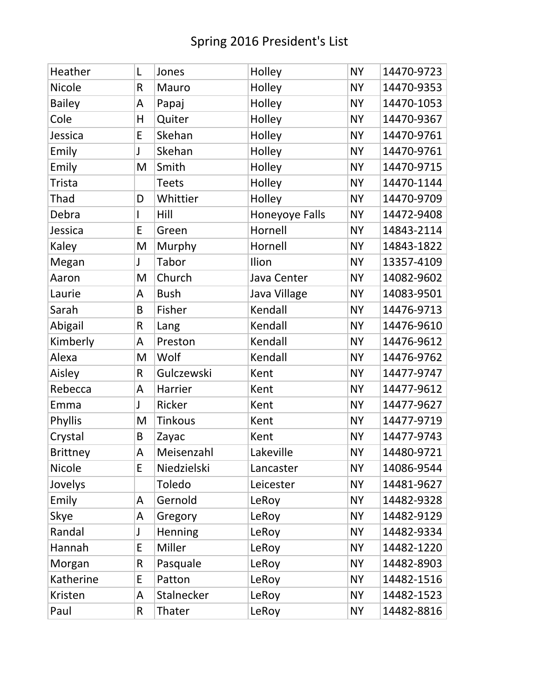| Heather         | L            | Jones          | Holley         | <b>NY</b> | 14470-9723 |
|-----------------|--------------|----------------|----------------|-----------|------------|
| <b>Nicole</b>   | R            | Mauro          | Holley         | <b>NY</b> | 14470-9353 |
| <b>Bailey</b>   | A            | Papaj          | Holley         | <b>NY</b> | 14470-1053 |
| Cole            | Н            | Quiter         | Holley         | <b>NY</b> | 14470-9367 |
| Jessica         | E            | Skehan         | Holley         | <b>NY</b> | 14470-9761 |
| Emily           | J            | Skehan         | Holley         | <b>NY</b> | 14470-9761 |
| Emily           | M            | Smith          | Holley         | <b>NY</b> | 14470-9715 |
| <b>Trista</b>   |              | <b>Teets</b>   | Holley         | <b>NY</b> | 14470-1144 |
| Thad            | D            | Whittier       | Holley         | <b>NY</b> | 14470-9709 |
| Debra           | $\mathsf{I}$ | Hill           | Honeyoye Falls | <b>NY</b> | 14472-9408 |
| Jessica         | E            | Green          | Hornell        | <b>NY</b> | 14843-2114 |
| Kaley           | M            | Murphy         | Hornell        | <b>NY</b> | 14843-1822 |
| Megan           | J            | Tabor          | Ilion          | <b>NY</b> | 13357-4109 |
| Aaron           | M            | Church         | Java Center    | <b>NY</b> | 14082-9602 |
| Laurie          | A            | <b>Bush</b>    | Java Village   | <b>NY</b> | 14083-9501 |
| Sarah           | B            | Fisher         | Kendall        | <b>NY</b> | 14476-9713 |
| Abigail         | R            | Lang           | Kendall        | <b>NY</b> | 14476-9610 |
| Kimberly        | A            | Preston        | Kendall        | <b>NY</b> | 14476-9612 |
| Alexa           | M            | Wolf           | Kendall        | <b>NY</b> | 14476-9762 |
| Aisley          | R            | Gulczewski     | Kent           | <b>NY</b> | 14477-9747 |
| Rebecca         | A            | Harrier        | Kent           | <b>NY</b> | 14477-9612 |
| Emma            | J            | Ricker         | Kent           | <b>NY</b> | 14477-9627 |
| Phyllis         | M            | <b>Tinkous</b> | Kent           | <b>NY</b> | 14477-9719 |
| Crystal         | B            | Zayac          | Kent           | <b>NY</b> | 14477-9743 |
| <b>Brittney</b> | A            | Meisenzahl     | Lakeville      | <b>NY</b> | 14480-9721 |
| Nicole          | E            | Niedzielski    | Lancaster      | <b>NY</b> | 14086-9544 |
| Jovelys         |              | Toledo         | Leicester      | <b>NY</b> | 14481-9627 |
| Emily           | A            | Gernold        | LeRoy          | <b>NY</b> | 14482-9328 |
| Skye            | A            | Gregory        | LeRoy          | <b>NY</b> | 14482-9129 |
| Randal          | J            | Henning        | LeRoy          | <b>NY</b> | 14482-9334 |
| Hannah          | E            | Miller         | LeRoy          | <b>NY</b> | 14482-1220 |
| Morgan          | R            | Pasquale       | LeRoy          | <b>NY</b> | 14482-8903 |
| Katherine       | E            | Patton         | LeRoy          | <b>NY</b> | 14482-1516 |
| Kristen         | A            | Stalnecker     | LeRoy          | <b>NY</b> | 14482-1523 |
| Paul            | R            | Thater         | LeRoy          | <b>NY</b> | 14482-8816 |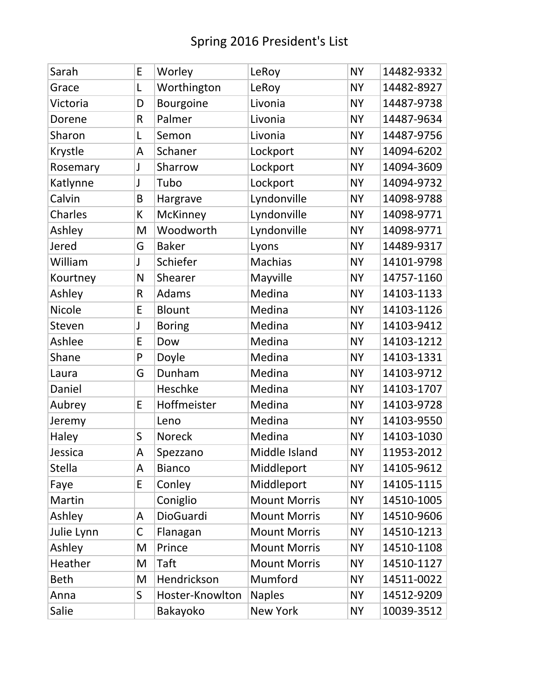| Sarah         | E            | Worley          | LeRoy               | <b>NY</b> | 14482-9332 |
|---------------|--------------|-----------------|---------------------|-----------|------------|
| Grace         | L            | Worthington     | LeRoy               | <b>NY</b> | 14482-8927 |
| Victoria      | D            | Bourgoine       | Livonia             | <b>NY</b> | 14487-9738 |
| Dorene        | R            | Palmer          | Livonia             | <b>NY</b> | 14487-9634 |
| Sharon        | L            | Semon           | Livonia             | <b>NY</b> | 14487-9756 |
| Krystle       | A            | Schaner         | Lockport            | <b>NY</b> | 14094-6202 |
| Rosemary      | J            | Sharrow         | Lockport            | <b>NY</b> | 14094-3609 |
| Katlynne      | J            | Tubo            | Lockport            | <b>NY</b> | 14094-9732 |
| Calvin        | B            | Hargrave        | Lyndonville         | <b>NY</b> | 14098-9788 |
| Charles       | K            | McKinney        | Lyndonville         | <b>NY</b> | 14098-9771 |
| Ashley        | M            | Woodworth       | Lyndonville         | <b>NY</b> | 14098-9771 |
| Jered         | G            | <b>Baker</b>    | Lyons               | <b>NY</b> | 14489-9317 |
| William       | J            | Schiefer        | Machias             | <b>NY</b> | 14101-9798 |
| Kourtney      | N            | Shearer         | Mayville            | <b>NY</b> | 14757-1160 |
| Ashley        | R            | Adams           | Medina              | <b>NY</b> | 14103-1133 |
| <b>Nicole</b> | E            | <b>Blount</b>   | Medina              | <b>NY</b> | 14103-1126 |
| Steven        | J            | <b>Boring</b>   | Medina              | <b>NY</b> | 14103-9412 |
| Ashlee        | E            | Dow             | Medina              | <b>NY</b> | 14103-1212 |
| Shane         | $\mathsf{P}$ | Doyle           | Medina              | <b>NY</b> | 14103-1331 |
| Laura         | G            | Dunham          | Medina              | <b>NY</b> | 14103-9712 |
| Daniel        |              | Heschke         | Medina              | <b>NY</b> | 14103-1707 |
| Aubrey        | E            | Hoffmeister     | Medina              | <b>NY</b> | 14103-9728 |
| Jeremy        |              | Leno            | Medina              | <b>NY</b> | 14103-9550 |
| Haley         | S            | <b>Noreck</b>   | Medina              | <b>NY</b> | 14103-1030 |
| Jessica       | A            | Spezzano        | Middle Island       | <b>NY</b> | 11953-2012 |
| <b>Stella</b> | A            | <b>Bianco</b>   | Middleport          | <b>NY</b> | 14105-9612 |
| Faye          | E            | Conley          | Middleport          | <b>NY</b> | 14105-1115 |
| Martin        |              | Coniglio        | <b>Mount Morris</b> | <b>NY</b> | 14510-1005 |
| Ashley        | A            | DioGuardi       | <b>Mount Morris</b> | <b>NY</b> | 14510-9606 |
| Julie Lynn    | C            | Flanagan        | <b>Mount Morris</b> | <b>NY</b> | 14510-1213 |
| Ashley        | M            | Prince          | <b>Mount Morris</b> | <b>NY</b> | 14510-1108 |
| Heather       | M            | Taft            | <b>Mount Morris</b> | <b>NY</b> | 14510-1127 |
| <b>Beth</b>   | M            | Hendrickson     | Mumford             | <b>NY</b> | 14511-0022 |
| Anna          | S            | Hoster-Knowlton | <b>Naples</b>       | <b>NY</b> | 14512-9209 |
| Salie         |              | Bakayoko        | <b>New York</b>     | <b>NY</b> | 10039-3512 |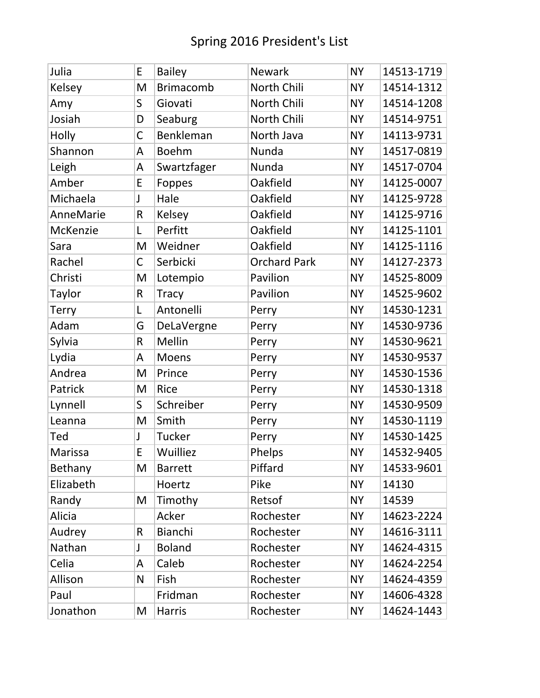| Julia            | E            | <b>Bailey</b>    | <b>Newark</b>       | <b>NY</b> | 14513-1719 |
|------------------|--------------|------------------|---------------------|-----------|------------|
| Kelsey           | M            | <b>Brimacomb</b> | North Chili         | <b>NY</b> | 14514-1312 |
| Amy              | $\mathsf S$  | Giovati          | North Chili         | <b>NY</b> | 14514-1208 |
| Josiah           | D            | Seaburg          | North Chili         | <b>NY</b> | 14514-9751 |
| Holly            | $\mathsf C$  | Benkleman        | North Java          | <b>NY</b> | 14113-9731 |
| Shannon          | A            | <b>Boehm</b>     | Nunda               | <b>NY</b> | 14517-0819 |
| Leigh            | A            | Swartzfager      | Nunda               | <b>NY</b> | 14517-0704 |
| Amber            | E            | Foppes           | Oakfield            | <b>NY</b> | 14125-0007 |
| Michaela         | J            | Hale             | Oakfield            | <b>NY</b> | 14125-9728 |
| <b>AnneMarie</b> | $\mathsf R$  | Kelsey           | Oakfield            | <b>NY</b> | 14125-9716 |
| McKenzie         | L            | Perfitt          | Oakfield            | <b>NY</b> | 14125-1101 |
| Sara             | M            | Weidner          | Oakfield            | <b>NY</b> | 14125-1116 |
| Rachel           | $\mathsf C$  | Serbicki         | <b>Orchard Park</b> | <b>NY</b> | 14127-2373 |
| Christi          | M            | Lotempio         | Pavilion            | <b>NY</b> | 14525-8009 |
| Taylor           | $\mathsf{R}$ | <b>Tracy</b>     | Pavilion            | <b>NY</b> | 14525-9602 |
| <b>Terry</b>     | L            | Antonelli        | Perry               | <b>NY</b> | 14530-1231 |
| Adam             | G            | DeLaVergne       | Perry               | <b>NY</b> | 14530-9736 |
| Sylvia           | $\mathsf{R}$ | Mellin           | Perry               | <b>NY</b> | 14530-9621 |
| Lydia            | A            | Moens            | Perry               | <b>NY</b> | 14530-9537 |
| Andrea           | M            | Prince           | Perry               | <b>NY</b> | 14530-1536 |
| Patrick          | M            | <b>Rice</b>      | Perry               | <b>NY</b> | 14530-1318 |
| Lynnell          | $\mathsf S$  | Schreiber        | Perry               | <b>NY</b> | 14530-9509 |
| Leanna           | M            | Smith            | Perry               | <b>NY</b> | 14530-1119 |
| Ted              | J            | Tucker           | Perry               | <b>NY</b> | 14530-1425 |
| Marissa          | E            | Wuilliez         | Phelps              | <b>NY</b> | 14532-9405 |
| Bethany          | M            | <b>Barrett</b>   | Piffard             | <b>NY</b> | 14533-9601 |
| Elizabeth        |              | Hoertz           | Pike                | <b>NY</b> | 14130      |
| Randy            | M            | Timothy          | Retsof              | <b>NY</b> | 14539      |
| Alicia           |              | Acker            | Rochester           | <b>NY</b> | 14623-2224 |
| Audrey           | $\mathsf{R}$ | Bianchi          | Rochester           | <b>NY</b> | 14616-3111 |
| Nathan           | J            | <b>Boland</b>    | Rochester           | <b>NY</b> | 14624-4315 |
| Celia            | A            | Caleb            | Rochester           | <b>NY</b> | 14624-2254 |
| Allison          | N            | Fish             | Rochester           | <b>NY</b> | 14624-4359 |
| Paul             |              | Fridman          | Rochester           | <b>NY</b> | 14606-4328 |
| Jonathon         | M            | <b>Harris</b>    | Rochester           | <b>NY</b> | 14624-1443 |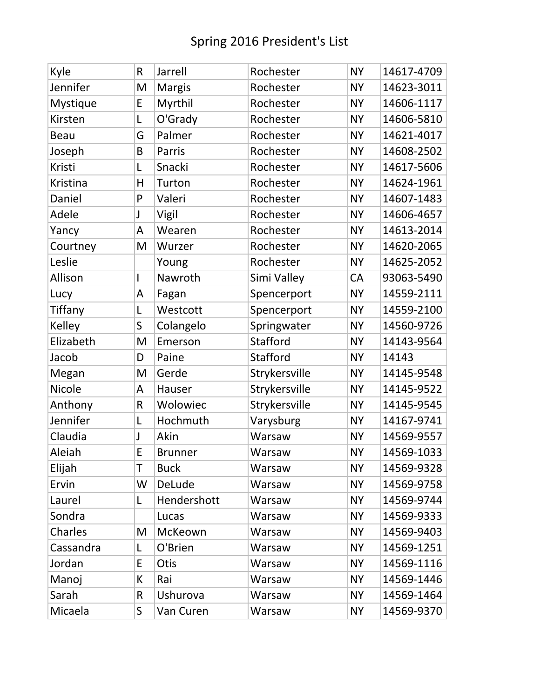| Kyle        | R            | Jarrell        | Rochester     | <b>NY</b> | 14617-4709 |
|-------------|--------------|----------------|---------------|-----------|------------|
| Jennifer    | M            | <b>Margis</b>  | Rochester     | <b>NY</b> | 14623-3011 |
| Mystique    | E            | Myrthil        | Rochester     | <b>NY</b> | 14606-1117 |
| Kirsten     | L            | O'Grady        | Rochester     | <b>NY</b> | 14606-5810 |
| <b>Beau</b> | G            | Palmer         | Rochester     | <b>NY</b> | 14621-4017 |
| Joseph      | B            | Parris         | Rochester     | <b>NY</b> | 14608-2502 |
| Kristi      | L            | Snacki         | Rochester     | <b>NY</b> | 14617-5606 |
| Kristina    | H            | Turton         | Rochester     | <b>NY</b> | 14624-1961 |
| Daniel      | P            | Valeri         | Rochester     | <b>NY</b> | 14607-1483 |
| Adele       | J            | Vigil          | Rochester     | <b>NY</b> | 14606-4657 |
| Yancy       | A            | Wearen         | Rochester     | <b>NY</b> | 14613-2014 |
| Courtney    | M            | Wurzer         | Rochester     | <b>NY</b> | 14620-2065 |
| Leslie      |              | Young          | Rochester     | <b>NY</b> | 14625-2052 |
| Allison     | $\mathsf{l}$ | Nawroth        | Simi Valley   | CA        | 93063-5490 |
| Lucy        | A            | Fagan          | Spencerport   | <b>NY</b> | 14559-2111 |
| Tiffany     | L            | Westcott       | Spencerport   | <b>NY</b> | 14559-2100 |
| Kelley      | S            | Colangelo      | Springwater   | <b>NY</b> | 14560-9726 |
| Elizabeth   | M            | Emerson        | Stafford      | <b>NY</b> | 14143-9564 |
| Jacob       | D            | Paine          | Stafford      | <b>NY</b> | 14143      |
| Megan       | M            | Gerde          | Strykersville | <b>NY</b> | 14145-9548 |
| Nicole      | A            | Hauser         | Strykersville | <b>NY</b> | 14145-9522 |
| Anthony     | R            | Wolowiec       | Strykersville | <b>NY</b> | 14145-9545 |
| Jennifer    | L            | Hochmuth       | Varysburg     | <b>NY</b> | 14167-9741 |
| Claudia     | J            | Akin           | Warsaw        | <b>NY</b> | 14569-9557 |
| Aleiah      | E            | <b>Brunner</b> | Warsaw        | <b>NY</b> | 14569-1033 |
| Elijah      | T            | <b>Buck</b>    | Warsaw        | <b>NY</b> | 14569-9328 |
| Ervin       | W            | DeLude         | Warsaw        | <b>NY</b> | 14569-9758 |
| Laurel      | L            | Hendershott    | Warsaw        | <b>NY</b> | 14569-9744 |
| Sondra      |              | Lucas          | Warsaw        | <b>NY</b> | 14569-9333 |
| Charles     | M            | McKeown        | Warsaw        | <b>NY</b> | 14569-9403 |
| Cassandra   | Г            | O'Brien        | Warsaw        | <b>NY</b> | 14569-1251 |
| Jordan      | E            | <b>Otis</b>    | Warsaw        | <b>NY</b> | 14569-1116 |
| Manoj       | K            | Rai            | Warsaw        | <b>NY</b> | 14569-1446 |
| Sarah       | R            | Ushurova       | Warsaw        | <b>NY</b> | 14569-1464 |
| Micaela     | S            | Van Curen      | Warsaw        | NΥ        | 14569-9370 |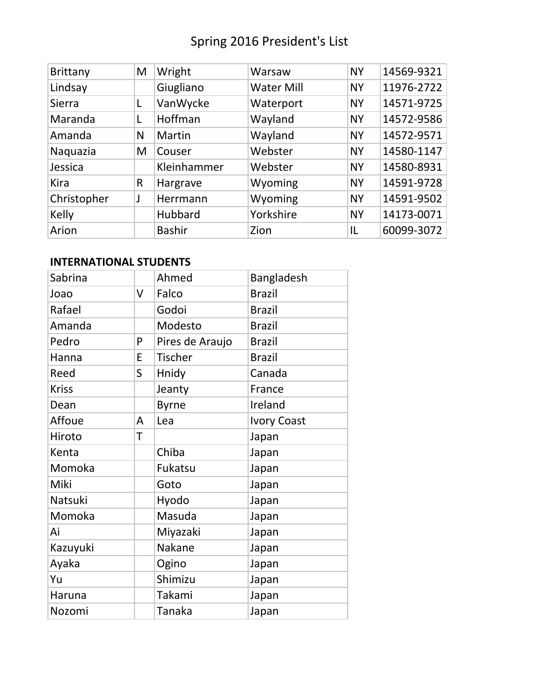| <b>Brittany</b> | M            | Wright        | Warsaw            | <b>NY</b> | 14569-9321 |
|-----------------|--------------|---------------|-------------------|-----------|------------|
| Lindsay         |              | Giugliano     | <b>Water Mill</b> | <b>NY</b> | 11976-2722 |
| Sierra          | L            | VanWycke      | Waterport         | <b>NY</b> | 14571-9725 |
| Maranda         |              | Hoffman       | Wayland           | <b>NY</b> | 14572-9586 |
| Amanda          | N            | Martin        | Wayland           | <b>NY</b> | 14572-9571 |
| Naquazia        | M            | Couser        | Webster           | <b>NY</b> | 14580-1147 |
| Jessica         |              | Kleinhammer   | Webster           | <b>NY</b> | 14580-8931 |
| Kira            | $\mathsf{R}$ | Hargrave      | Wyoming           | <b>NY</b> | 14591-9728 |
| Christopher     |              | Herrmann      | Wyoming           | <b>NY</b> | 14591-9502 |
| Kelly           |              | Hubbard       | Yorkshire         | <b>NY</b> | 14173-0071 |
| Arion           |              | <b>Bashir</b> | Zion              | IL        | 60099-3072 |

## **INTERNATIONAL STUDENTS**

| Sabrina      |   | Ahmed           | Bangladesh         |
|--------------|---|-----------------|--------------------|
| Joao         | V | Falco           | <b>Brazil</b>      |
| Rafael       |   | Godoi           | <b>Brazil</b>      |
| Amanda       |   | Modesto         | <b>Brazil</b>      |
| Pedro        | P | Pires de Araujo | <b>Brazil</b>      |
| Hanna        | E | <b>Tischer</b>  | <b>Brazil</b>      |
| Reed         | S | Hnidy           | Canada             |
| <b>Kriss</b> |   | Jeanty          | France             |
| Dean         |   | <b>Byrne</b>    | Ireland            |
| Affoue       | A | Lea             | <b>Ivory Coast</b> |
| Hiroto       | T |                 | Japan              |
| Kenta        |   | Chiba           | Japan              |
| Momoka       |   | Fukatsu         | Japan              |
| Miki         |   | Goto            | Japan              |
| Natsuki      |   | Hyodo           | Japan              |
| Momoka       |   | Masuda          | Japan              |
| Ai           |   | Miyazaki        | Japan              |
| Kazuyuki     |   | Nakane          | Japan              |
| Ayaka        |   | Ogino           | Japan              |
| Yu           |   | Shimizu         | Japan              |
| Haruna       |   | Takami          | Japan              |
| Nozomi       |   | Tanaka          | Japan              |